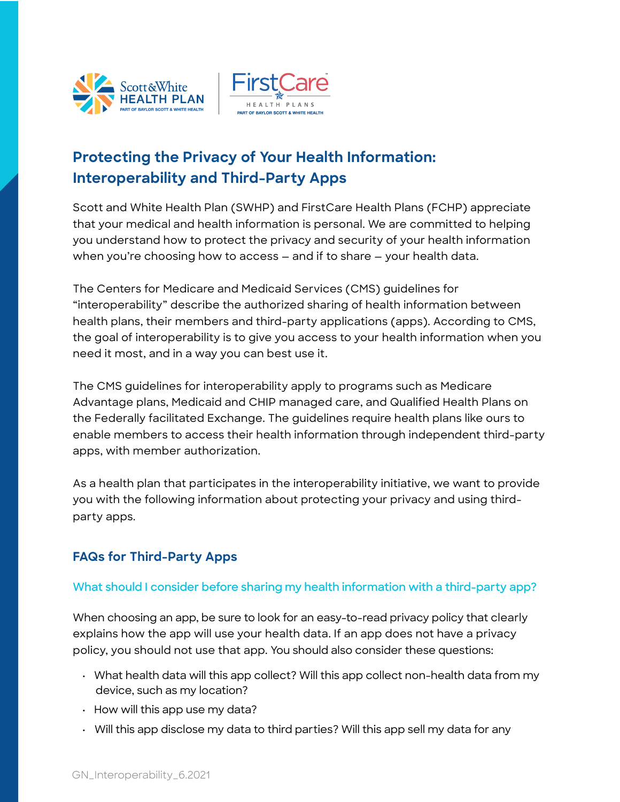



# **Protecting the Privacy of Your Health Information: Interoperability and Third-Party Apps**

Scott and White Health Plan (SWHP) and FirstCare Health Plans (FCHP) appreciate that your medical and health information is personal. We are committed to helping you understand how to protect the privacy and security of your health information when you're choosing how to access — and if to share — your health data.

The Centers for Medicare and Medicaid Services (CMS) guidelines for "interoperability" describe the authorized sharing of health information between health plans, their members and third-party applications (apps). According to CMS, the goal of interoperability is to give you access to your health information when you need it most, and in a way you can best use it.

The CMS guidelines for interoperability apply to programs such as Medicare Advantage plans, Medicaid and CHIP managed care, and Qualified Health Plans on the Federally facilitated Exchange. The guidelines require health plans like ours to enable members to access their health information through independent third-party apps, with member authorization.

As a health plan that participates in the interoperability initiative, we want to provide you with the following information about protecting your privacy and using thirdparty apps.

## **FAQs for Third-Party Apps**

### **What should I consider before sharing my health information with a third-party app?**

When choosing an app, be sure to look for an easy-to-read privacy policy that clearly explains how the app will use your health data. If an app does not have a privacy policy, you should not use that app. You should also consider these questions:

- What health data will this app collect? Will this app collect non-health data from my device, such as my location?
- How will this app use my data?
- Will this app disclose my data to third parties? Will this app sell my data for any